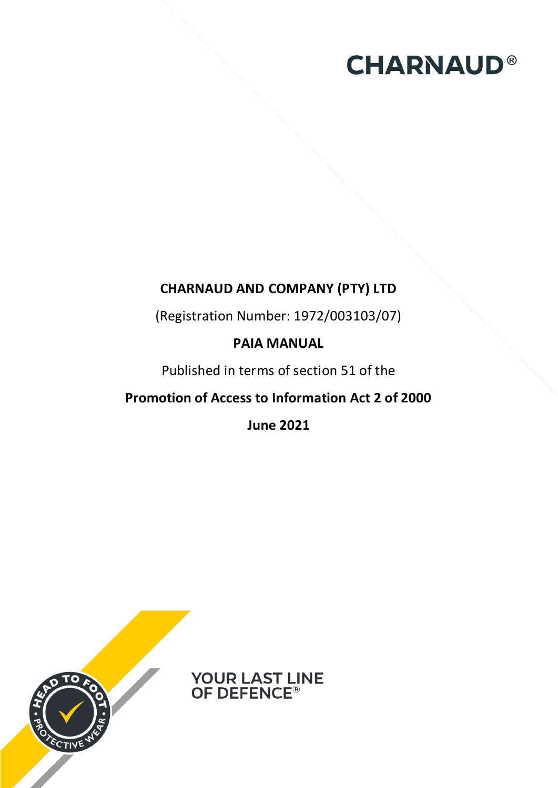# **CHARNAUD®**

# **CHARNAUD AND COMPANY (PTY) LTD**

(Registration Number: 1972/003103/07)

### **PAIA MANUAL**

Published in terms of section 51 of the

# **Promotion of Access to Information Act 2 of 2000**

**June 2021** 



**YOUR LAST LINE<br>OF DEFENCE®**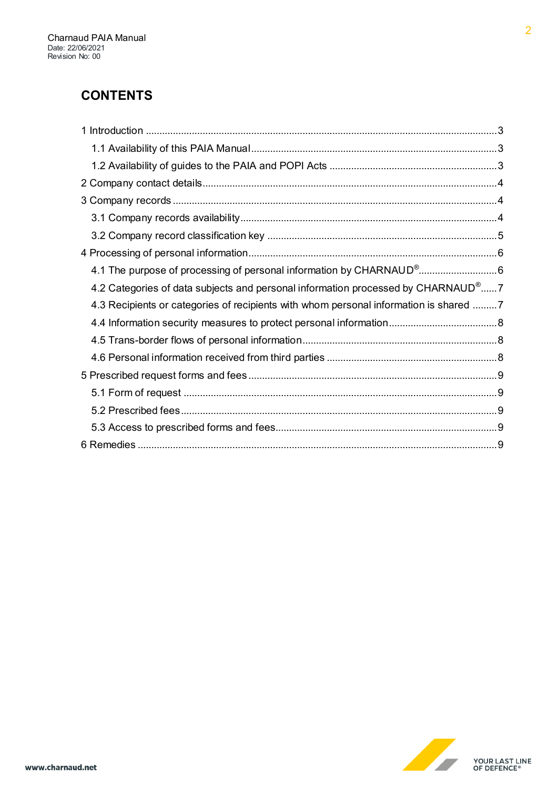### **CONTENTS**

| 4.2 Categories of data subjects and personal information processed by CHARNAUD <sup>®</sup> 7 |  |
|-----------------------------------------------------------------------------------------------|--|
| 4.3 Recipients or categories of recipients with whom personal information is shared 7         |  |
|                                                                                               |  |
|                                                                                               |  |
|                                                                                               |  |
|                                                                                               |  |
|                                                                                               |  |
|                                                                                               |  |
|                                                                                               |  |
|                                                                                               |  |

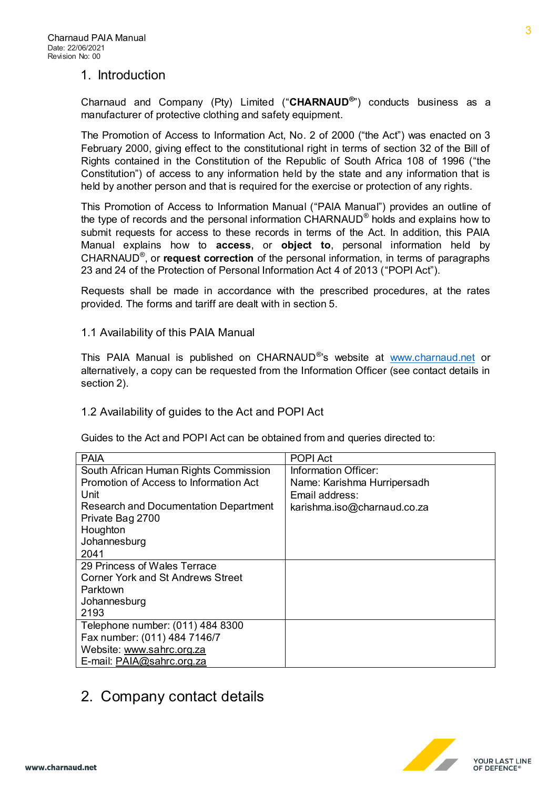#### <span id="page-2-0"></span>1. Introduction

Charnaud and Company (Pty) Limited ("**CHARNAUD®** ") conducts business as a manufacturer of protective clothing and safety equipment.

The Promotion of Access to Information Act, No. 2 of 2000 ("the Act") was enacted on 3 February 2000, giving effect to the constitutional right in terms of section 32 of the Bill of Rights contained in the Constitution of the Republic of South Africa 108 of 1996 ("the Constitution") of access to any information held by the state and any information that is held by another person and that is required for the exercise or protection of any rights.

This Promotion of Access to Information Manual ("PAIA Manual") provides an outline of the type of records and the personal information  $\mathsf{CHARNAUD}^{\circledast}$  holds and explains how to submit requests for access to these records in terms of the Act. In addition, this PAIA Manual explains how to **access**, or **object to**, personal information held by CHARNAUD® , or **request correction** of the personal information, in terms of paragraphs 23 and 24 of the Protection of Personal Information Act 4 of 2013 ("POPI Act").

Requests shall be made in accordance with the prescribed procedures, at the rates provided. The forms and tariff are dealt with in section 5.

<span id="page-2-1"></span>1.1 Availability of this PAIA Manual

This PAIA Manual is published on CHARNAUD<sup>®</sup>'s website at www.charnaud.net or alternatively, a copy can be requested from the Information Officer (see contact details in section 2).

<span id="page-2-2"></span>1.2 Availability of guides to the Act and POPI Act

Guides to the Act and POPI Act can be obtained from and queries directed to:

| <b>PAIA</b>                            | <b>POPI Act</b>             |
|----------------------------------------|-----------------------------|
| South African Human Rights Commission  | Information Officer:        |
| Promotion of Access to Information Act | Name: Karishma Hurripersadh |
| Unit                                   | Email address:              |
| Research and Documentation Department  | karishma.iso@charnaud.co.za |
| Private Bag 2700                       |                             |
| Houghton                               |                             |
| Johannesburg                           |                             |
| 2041                                   |                             |
| 29 Princess of Wales Terrace           |                             |
| Corner York and St Andrews Street      |                             |
| Parktown                               |                             |
| Johannesburg                           |                             |
| 2193                                   |                             |
| Telephone number: (011) 484 8300       |                             |
| Fax number: (011) 484 7146/7           |                             |
| Website: www.sahrc.org.za              |                             |
| E-mail: PAIA@sahrc.org.za              |                             |

### <span id="page-2-3"></span>2. Company contact details



3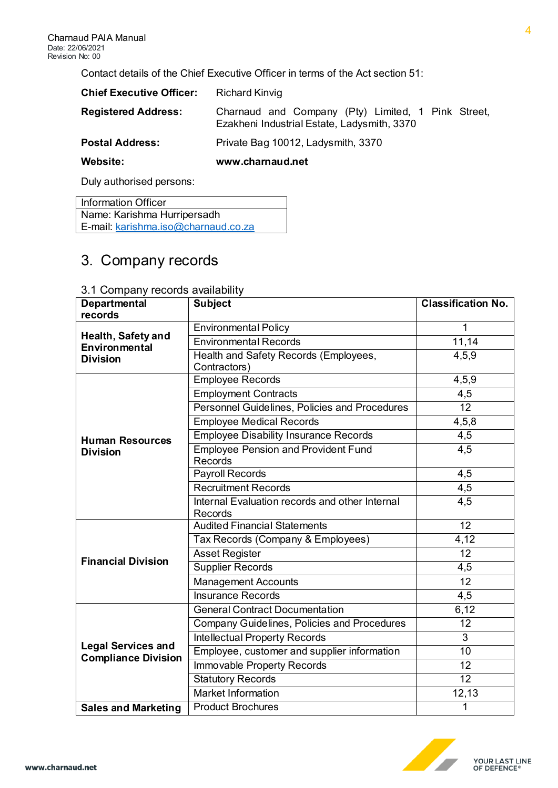Contact details of the Chief Executive Officer in terms of the Act section 51:

| <b>Chief Executive Officer:</b> | <b>Richard Kinvig</b>                                                                             |
|---------------------------------|---------------------------------------------------------------------------------------------------|
| <b>Registered Address:</b>      | Charnaud and Company (Pty) Limited, 1 Pink Street,<br>Ezakheni Industrial Estate, Ladysmith, 3370 |
| <b>Postal Address:</b>          | Private Bag 10012, Ladysmith, 3370                                                                |
| Website:                        | www.charnaud.net                                                                                  |
| Duly authorised persons:        |                                                                                                   |

Information Officer Name: Karishma Hurripersadh E-mail: [karishma.iso@charnaud.co.za](mailto:karishma.iso@charnaud.co.za)

# <span id="page-3-0"></span>3. Company records

| <b>Departmental</b><br>records   | <b>Subject</b>                                            | <b>Classification No.</b> |
|----------------------------------|-----------------------------------------------------------|---------------------------|
|                                  | <b>Environmental Policy</b>                               | 1                         |
| Health, Safety and               | <b>Environmental Records</b>                              | 11,14                     |
| Environmental<br><b>Division</b> | Health and Safety Records (Employees,                     | 4,5,9                     |
|                                  | Contractors)                                              |                           |
|                                  | <b>Employee Records</b>                                   | 4,5,9                     |
|                                  | <b>Employment Contracts</b>                               | 4,5                       |
|                                  | Personnel Guidelines, Policies and Procedures             | $\overline{12}$           |
|                                  | <b>Employee Medical Records</b>                           | 4,5,8                     |
| <b>Human Resources</b>           | <b>Employee Disability Insurance Records</b>              | 4,5                       |
| <b>Division</b>                  | <b>Employee Pension and Provident Fund</b><br>Records     | $\overline{4,5}$          |
|                                  | Payroll Records                                           | 4,5                       |
|                                  | <b>Recruitment Records</b>                                | 4,5                       |
|                                  | Internal Evaluation records and other Internal<br>Records | 4,5                       |
|                                  | <b>Audited Financial Statements</b>                       | 12                        |
|                                  | Tax Records (Company & Employees)                         | 4,12                      |
|                                  | <b>Asset Register</b>                                     | 12                        |
| <b>Financial Division</b>        | <b>Supplier Records</b>                                   | 4,5                       |
|                                  | <b>Management Accounts</b>                                | 12                        |
|                                  | <b>Insurance Records</b>                                  | 4,5                       |
|                                  | <b>General Contract Documentation</b>                     | 6,12                      |
|                                  | <b>Company Guidelines, Policies and Procedures</b>        | $\overline{12}$           |
|                                  | <b>Intellectual Property Records</b>                      | 3                         |
| <b>Legal Services and</b>        | Employee, customer and supplier information               | 10                        |
| <b>Compliance Division</b>       | Immovable Property Records                                | 12                        |
|                                  | <b>Statutory Records</b>                                  | $\overline{12}$           |
|                                  | <b>Market Information</b>                                 | 12,13                     |
| <b>Sales and Marketing</b>       | <b>Product Brochures</b>                                  | 1                         |

#### <span id="page-3-1"></span>3.1 Company records availability

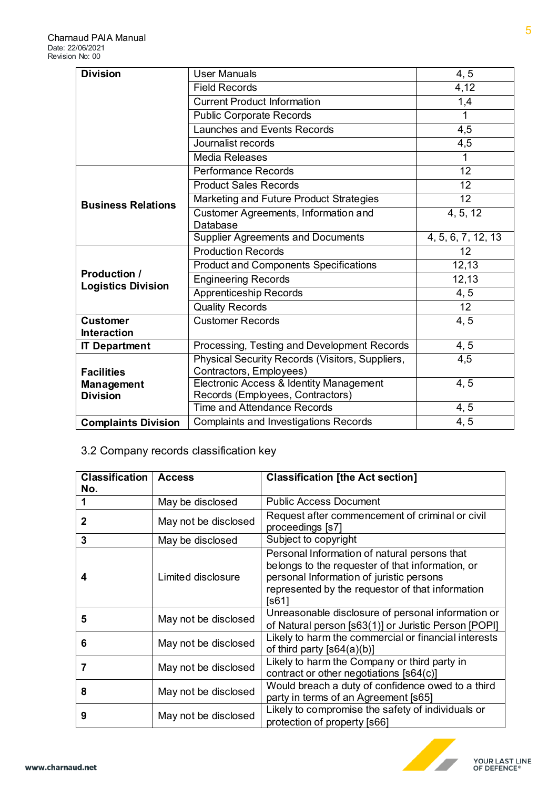| <b>Division</b>                                  | <b>User Manuals</b>                             | 4, 5               |
|--------------------------------------------------|-------------------------------------------------|--------------------|
|                                                  | <b>Field Records</b>                            | 4,12               |
|                                                  | <b>Current Product Information</b>              | 1,4                |
|                                                  | <b>Public Corporate Records</b>                 | 1                  |
|                                                  | Launches and Events Records                     | 4,5                |
|                                                  | Journalist records                              | 4,5                |
|                                                  | <b>Media Releases</b>                           | 1                  |
|                                                  | <b>Performance Records</b>                      | 12                 |
|                                                  | <b>Product Sales Records</b>                    | 12                 |
| <b>Business Relations</b>                        | Marketing and Future Product Strategies         | 12                 |
|                                                  | Customer Agreements, Information and            | 4, 5, 12           |
|                                                  | Database                                        |                    |
|                                                  | <b>Supplier Agreements and Documents</b>        | 4, 5, 6, 7, 12, 13 |
| <b>Production /</b><br><b>Logistics Division</b> | <b>Production Records</b>                       | 12                 |
|                                                  | <b>Product and Components Specifications</b>    | 12,13              |
|                                                  | <b>Engineering Records</b>                      | 12,13              |
|                                                  | <b>Apprenticeship Records</b>                   | 4, 5               |
|                                                  | <b>Quality Records</b>                          | $\overline{12}$    |
| <b>Customer</b>                                  | <b>Customer Records</b>                         | 4, 5               |
| <b>Interaction</b>                               |                                                 |                    |
| <b>IT Department</b>                             | Processing, Testing and Development Records     | 4, 5               |
|                                                  | Physical Security Records (Visitors, Suppliers, | 4,5                |
| Contractors, Employees)<br><b>Facilities</b>     |                                                 |                    |
| <b>Management</b>                                | Electronic Access & Identity Management         | 4, 5               |
| <b>Division</b>                                  | Records (Employees, Contractors)                |                    |
|                                                  | <b>Time and Attendance Records</b>              | 4, 5               |
| <b>Complaints Division</b>                       | <b>Complaints and Investigations Records</b>    | 4, 5               |

# <span id="page-4-0"></span>3.2 Company records classification key

| <b>Classification</b> | <b>Access</b>        | <b>Classification [the Act section]</b>                                                                                                                                                                   |
|-----------------------|----------------------|-----------------------------------------------------------------------------------------------------------------------------------------------------------------------------------------------------------|
| No.                   |                      |                                                                                                                                                                                                           |
|                       | May be disclosed     | <b>Public Access Document</b>                                                                                                                                                                             |
| 2                     | May not be disclosed | Request after commencement of criminal or civil<br>proceedings [s7]                                                                                                                                       |
| 3                     | May be disclosed     | Subject to copyright                                                                                                                                                                                      |
|                       | Limited disclosure   | Personal Information of natural persons that<br>belongs to the requester of that information, or<br>personal Information of juristic persons<br>represented by the requestor of that information<br>[s61] |
| 5                     | May not be disclosed | Unreasonable disclosure of personal information or<br>of Natural person [s63(1)] or Juristic Person [POPI]                                                                                                |
| 6                     | May not be disclosed | Likely to harm the commercial or financial interests<br>of third party $[s64(a)(b)]$                                                                                                                      |
| 7                     | May not be disclosed | Likely to harm the Company or third party in<br>contract or other negotiations [s64(c)]                                                                                                                   |
| 8                     | May not be disclosed | Would breach a duty of confidence owed to a third<br>party in terms of an Agreement [s65]                                                                                                                 |
| 9                     | May not be disclosed | Likely to compromise the safety of individuals or<br>protection of property [s66]                                                                                                                         |



**YOUR LAST LINE<br>OF DEFENCE®**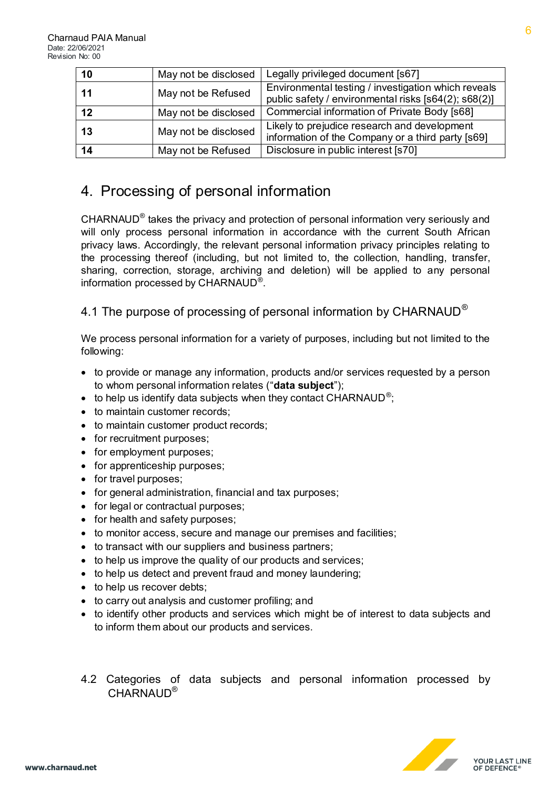| 10 | May not be disclosed | Legally privileged document [s67]                                                                           |
|----|----------------------|-------------------------------------------------------------------------------------------------------------|
| 11 | May not be Refused   | Environmental testing / investigation which reveals<br>public safety / environmental risks [s64(2); s68(2)] |
| 12 | May not be disclosed | Commercial information of Private Body [s68]                                                                |
| 13 | May not be disclosed | Likely to prejudice research and development<br>information of the Company or a third party [s69]           |
| 14 | May not be Refused   | Disclosure in public interest [s70]                                                                         |

### <span id="page-5-0"></span>4. Processing of personal information

CHARNAUD<sup>®</sup> takes the privacy and protection of personal information very seriously and will only process personal information in accordance with the current South African privacy laws. Accordingly, the relevant personal information privacy principles relating to the processing thereof (including, but not limited to, the collection, handling, transfer, sharing, correction, storage, archiving and deletion) will be applied to any personal information processed by CHARNAUD<sup>®</sup> .

### <span id="page-5-1"></span>4.1 The purpose of processing of personal information by CHARNAUD<sup>®</sup>

We process personal information for a variety of purposes, including but not limited to the following:

- to provide or manage any information, products and/or services requested by a person to whom personal information relates ("**data subject**");
- $\bullet$  to help us identify data subjects when they contact CHARNAUD<sup>®</sup>;
- to maintain customer records;
- to maintain customer product records;
- for recruitment purposes:
- for employment purposes;
- for apprenticeship purposes;
- for travel purposes;
- for general administration, financial and tax purposes;
- for legal or contractual purposes;
- for health and safety purposes;
- to monitor access, secure and manage our premises and facilities;
- to transact with our suppliers and business partners;
- to help us improve the quality of our products and services;
- to help us detect and prevent fraud and money laundering;
- to help us recover debts;
- to carry out analysis and customer profiling; and
- to identify other products and services which might be of interest to data subjects and to inform them about our products and services.
- <span id="page-5-2"></span>4.2 Categories of data subjects and personal information processed by CHARNAUD<sup>®</sup>

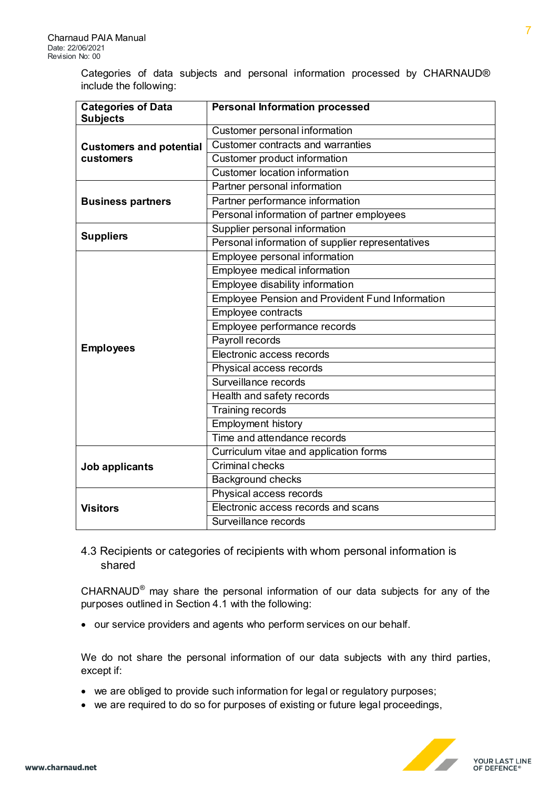Categories of data subjects and personal information processed by CHARNAUD® include the following:

| <b>Categories of Data</b>      | <b>Personal Information processed</b>                  |
|--------------------------------|--------------------------------------------------------|
| <b>Subjects</b>                | Customer personal information                          |
|                                | Customer contracts and warranties                      |
| <b>Customers and potential</b> |                                                        |
| customers                      | Customer product information                           |
|                                | <b>Customer location information</b>                   |
|                                | Partner personal information                           |
| <b>Business partners</b>       | Partner performance information                        |
|                                | Personal information of partner employees              |
| <b>Suppliers</b>               | Supplier personal information                          |
|                                | Personal information of supplier representatives       |
|                                | Employee personal information                          |
|                                | Employee medical information                           |
|                                | Employee disability information                        |
|                                | <b>Employee Pension and Provident Fund Information</b> |
|                                | Employee contracts                                     |
|                                | Employee performance records                           |
|                                | Payroll records                                        |
| <b>Employees</b>               | Electronic access records                              |
|                                | Physical access records                                |
|                                | Surveillance records                                   |
|                                | Health and safety records                              |
|                                | Training records                                       |
|                                | <b>Employment history</b>                              |
|                                | Time and attendance records                            |
| Job applicants                 | Curriculum vitae and application forms                 |
|                                | Criminal checks                                        |
|                                | <b>Background checks</b>                               |
|                                | Physical access records                                |
| <b>Visitors</b>                | Electronic access records and scans                    |
|                                | Surveillance records                                   |

<span id="page-6-0"></span>4.3 Recipients or categories of recipients with whom personal information is shared

CHARNAUD® may share the personal information of our data subjects for any of the purposes outlined in Section 4.1 with the following:

our service providers and agents who perform services on our behalf.

We do not share the personal information of our data subjects with any third parties, except if:

- we are obliged to provide such information for legal or regulatory purposes;
- we are required to do so for purposes of existing or future legal proceedings,

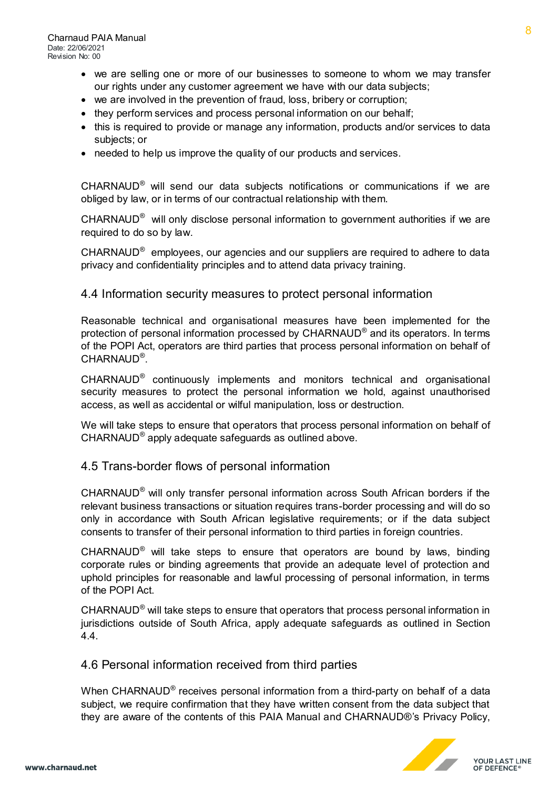- we are selling one or more of our businesses to someone to whom we may transfer our rights under any customer agreement we have with our data subjects;
- we are involved in the prevention of fraud, loss, bribery or corruption;
- they perform services and process personal information on our behalf;
- this is required to provide or manage any information, products and/or services to data subjects; or
- needed to help us improve the quality of our products and services.

CHARNAUD® will send our data subjects notifications or communications if we are obliged by law, or in terms of our contractual relationship with them.

CHARNAUD<sup>®</sup> will only disclose personal information to government authorities if we are required to do so by law.

CHARNAUD<sup>®</sup> employees, our agencies and our suppliers are required to adhere to data privacy and confidentiality principles and to attend data privacy training.

#### <span id="page-7-0"></span>4.4 Information security measures to protect personal information

Reasonable technical and organisational measures have been implemented for the protection of personal information processed by  $\mathsf{CHARNAUD}^\circledast$  and its operators. In terms of the POPI Act, operators are third parties that process personal information on behalf of CHARNAUD® .

CHARNAUD® continuously implements and monitors technical and organisational security measures to protect the personal information we hold, against unauthorised access, as well as accidental or wilful manipulation, loss or destruction.

We will take steps to ensure that operators that process personal information on behalf of CHARNAUD® apply adequate safeguards as outlined above.

#### <span id="page-7-1"></span>4.5 Trans-border flows of personal information

CHARNAUD<sup>®</sup> will only transfer personal information across South African borders if the relevant business transactions or situation requires trans-border processing and will do so only in accordance with South African legislative requirements; or if the data subject consents to transfer of their personal information to third parties in foreign countries.

CHARNAUD® will take steps to ensure that operators are bound by laws, binding corporate rules or binding agreements that provide an adequate level of protection and uphold principles for reasonable and lawful processing of personal information, in terms of the POPI Act.

CHARNAUD<sup>®</sup> will take steps to ensure that operators that process personal information in jurisdictions outside of South Africa, apply adequate safeguards as outlined in Section 4.4.

#### <span id="page-7-2"></span>4.6 Personal information received from third parties

When CHARNAUD® receives personal information from a third-party on behalf of a data subject, we require confirmation that they have written consent from the data subject that they are aware of the contents of this PAIA Manual and CHARNAUD®'s Privacy Policy,



**YOUR LAST LINE<br>OF DEFENCE®**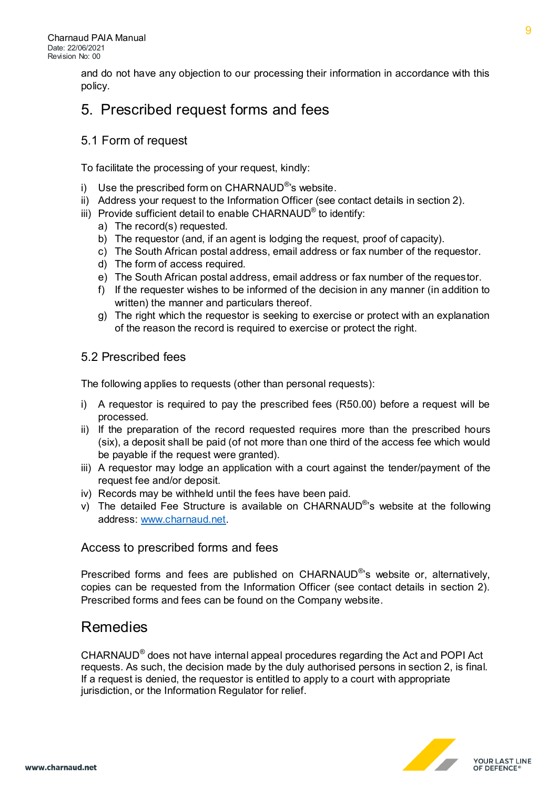and do not have any objection to our processing their information in accordance with this policy.

### <span id="page-8-0"></span>5. Prescribed request forms and fees

#### <span id="page-8-1"></span>5.1 Form of request

To facilitate the processing of your request, kindly:

- i) Use the prescribed form on CHARNAUD<sup>®</sup>'s website.
- ii) Address your request to the Information Officer (see contact details in section 2).
- iii) Provide sufficient detail to enable CHARNAUD® to identify:
	- a) The record(s) requested.
	- b) The requestor (and, if an agent is lodging the request, proof of capacity).
	- c) The South African postal address, email address or fax number of the requestor.
	- d) The form of access required.
	- e) The South African postal address, email address or fax number of the requestor.
	- f) If the requester wishes to be informed of the decision in any manner (in addition to written) the manner and particulars thereof.
	- g) The right which the requestor is seeking to exercise or protect with an explanation of the reason the record is required to exercise or protect the right.

#### <span id="page-8-2"></span>5.2 Prescribed fees

The following applies to requests (other than personal requests):

- i) A requestor is required to pay the prescribed fees (R50.00) before a request will be processed.
- ii) If the preparation of the record requested requires more than the prescribed hours (six), a deposit shall be paid (of not more than one third of the access fee which would be payable if the request were granted).
- iii) A requestor may lodge an application with a court against the tender/payment of the request fee and/or deposit.
- iv) Records may be withheld until the fees have been paid.
- v) The detailed Fee Structure is available on CHARNAUD<sup>®</sup>'s website at the following address[: www.charnaud.net.](http://www.charnaud.net/)

#### <span id="page-8-3"></span>Access to prescribed forms and fees

Prescribed forms and fees are published on CHARNAUD<sup>®</sup>'s website or, alternatively, copies can be requested from the Information Officer (see contact details in section 2). Prescribed forms and fees can be found on the Company website.

### <span id="page-8-4"></span>Remedies

CHARNAUD® does not have internal appeal procedures regarding the Act and POPI Act requests. As such, the decision made by the duly authorised persons in section 2, is final. If a request is denied, the requestor is entitled to apply to a court with appropriate jurisdiction, or the Information Regulator for relief.